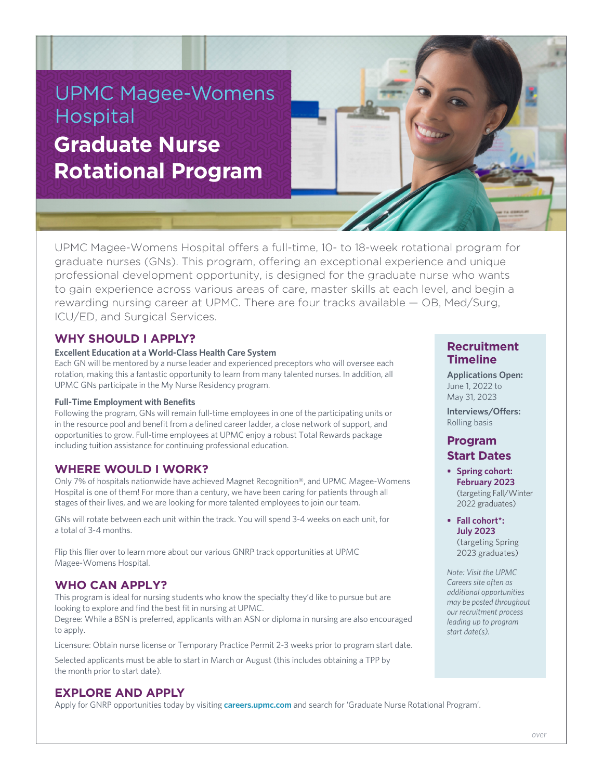# UPMC Magee-Womens Hospital **Graduate Nurse Rotational Program**

UPMC Magee-Womens Hospital offers a full-time, 10- to 18-week rotational program for graduate nurses (GNs). This program, offering an exceptional experience and unique professional development opportunity, is designed for the graduate nurse who wants to gain experience across various areas of care, master skills at each level, and begin a rewarding nursing career at UPMC. There are four tracks available — OB, Med/Surg, ICU/ED, and Surgical Services.

# **WHY SHOULD I APPLY?**

#### **Excellent Education at a World-Class Health Care System**

Each GN will be mentored by a nurse leader and experienced preceptors who will oversee each rotation, making this a fantastic opportunity to learn from many talented nurses. In addition, all UPMC GNs participate in the My Nurse Residency program.

#### **Full-Time Employment with Benefits**

Following the program, GNs will remain full-time employees in one of the participating units or in the resource pool and benefit from a defined career ladder, a close network of support, and opportunities to grow. Full-time employees at UPMC enjoy a robust Total Rewards package including tuition assistance for continuing professional education.

## **WHERE WOULD I WORK?**

Only 7% of hospitals nationwide have achieved Magnet Recognition®, and UPMC Magee-Womens Hospital is one of them! For more than a century, we have been caring for patients through all stages of their lives, and we are looking for more talented employees to join our team.

GNs will rotate between each unit within the track. You will spend 3-4 weeks on each unit, for a total of 3-4 months.

Flip this flier over to learn more about our various GNRP track opportunities at UPMC Magee-Womens Hospital.

# **WHO CAN APPLY?**

This program is ideal for nursing students who know the specialty they'd like to pursue but are looking to explore and find the best fit in nursing at UPMC.

Degree: While a BSN is preferred, applicants with an ASN or diploma in nursing are also encouraged to apply.

Licensure: Obtain nurse license or Temporary Practice Permit 2-3 weeks prior to program start date.

Selected applicants must be able to start in March or August (this includes obtaining a TPP by the month prior to start date).

# **EXPLORE AND APPLY**

Apply for GNRP opportunities today by visiting **careers.upmc.com** and search for 'Graduate Nurse Rotational Program'.

## **Recruitment Timeline**

**Applications Open:** June 1, 2022 to May 31, 2023

**Interviews/Offers:** Rolling basis

# **Program Start Dates**

- **• Spring cohort: February 2023** (targeting Fall/Winter 2022 graduates)
- **• Fall cohort\*: July 2023** (targeting Spring 2023 graduates)

*Note: Visit the UPMC Careers site often as additional opportunities may be posted throughout our recruitment process leading up to program start date(s).*